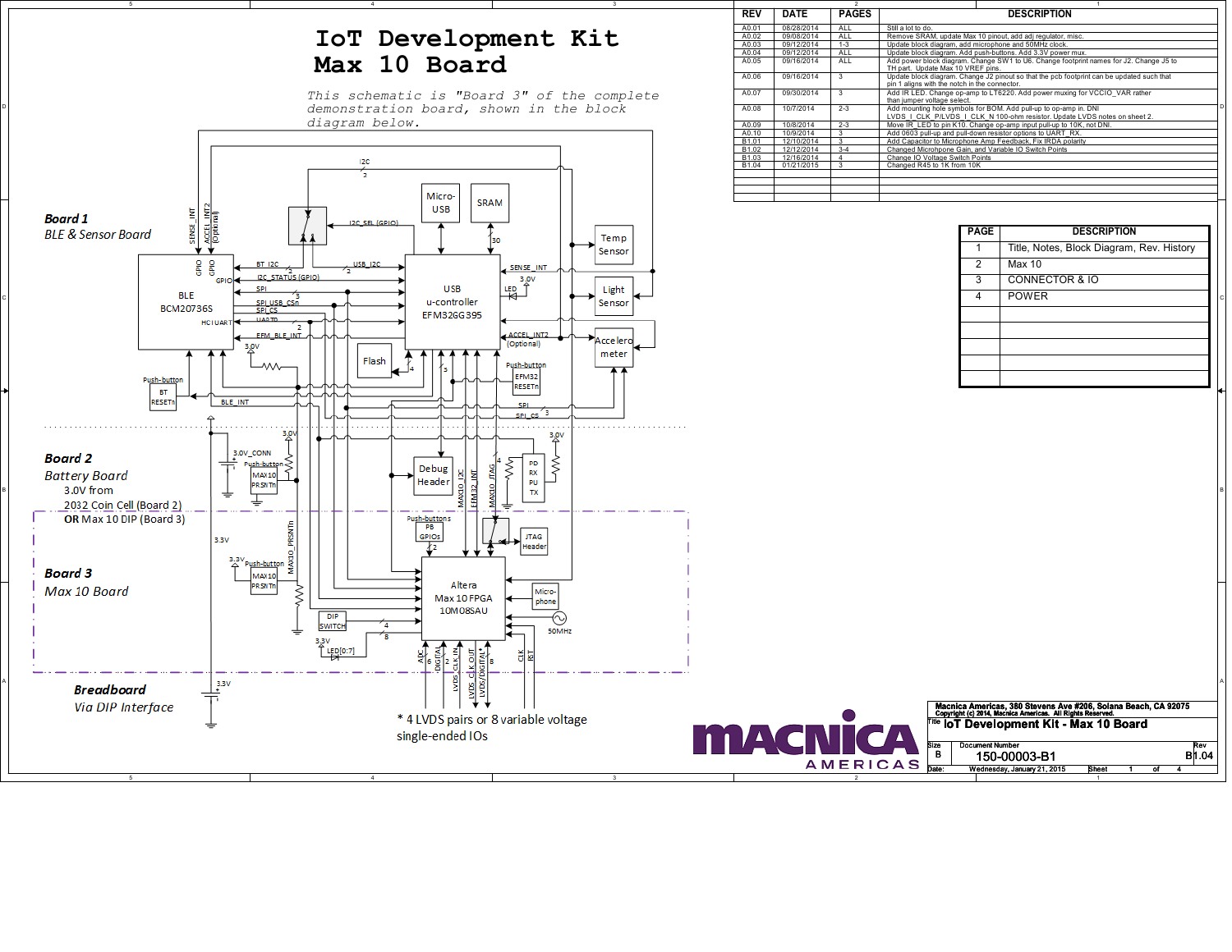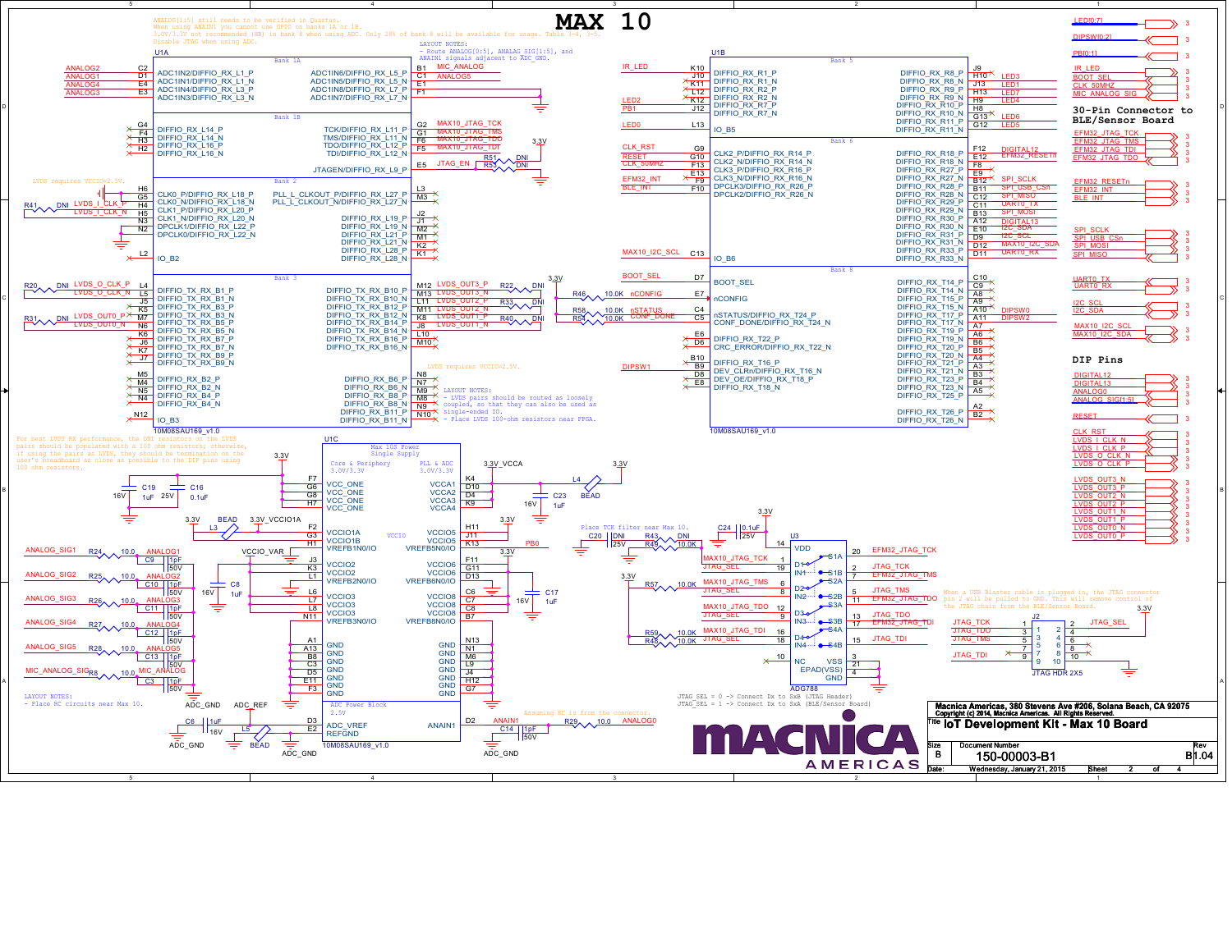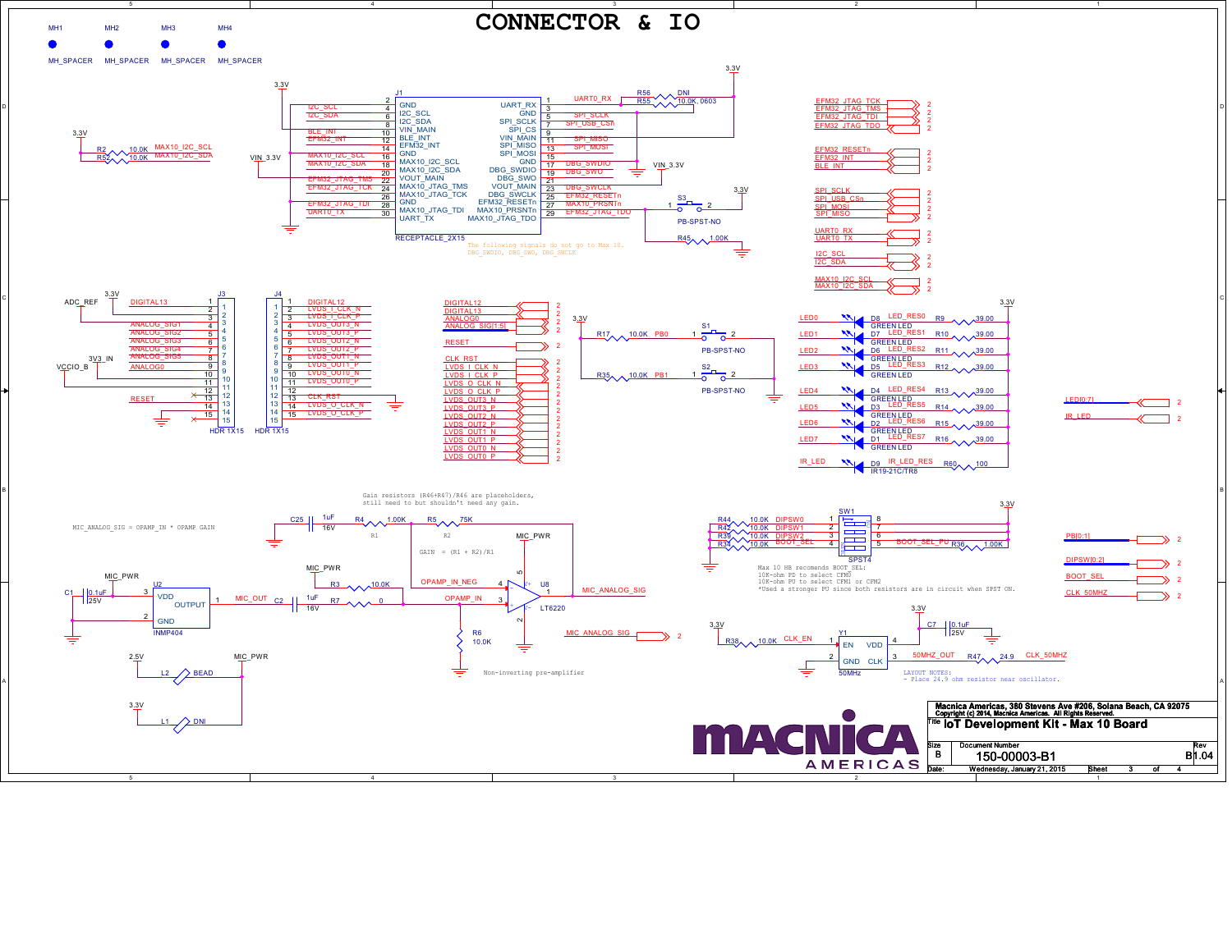